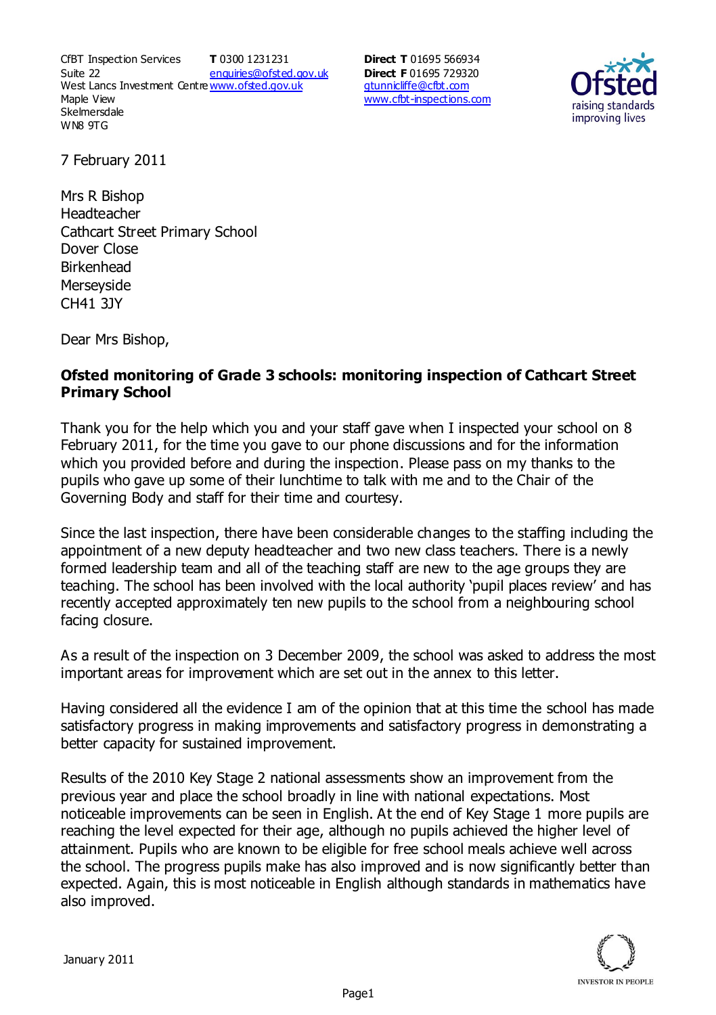CfBT Inspection Services Suite 22 West Lancs Investment Centre<u>www.ofsted.gov.uk</u> Maple View **Skelmersdale** WN8 9TG **T** 0300 1231231 enquiries@ofsted.gov.uk **Direct T** 01695 566934 **Direct F** 01695 729320 gtunnicliffe@cfbt.com www.cfbt-inspections.com



7 February 2011

Mrs R Bishop Headteacher Cathcart Street Primary School Dover Close Birkenhead Merseyside CH41 3JY

Dear Mrs Bishop,

## **Ofsted monitoring of Grade 3 schools: monitoring inspection of Cathcart Street Primary School**

Thank you for the help which you and your staff gave when I inspected your school on 8 February 2011, for the time you gave to our phone discussions and for the information which you provided before and during the inspection. Please pass on my thanks to the pupils who gave up some of their lunchtime to talk with me and to the Chair of the Governing Body and staff for their time and courtesy.

Since the last inspection, there have been considerable changes to the staffing including the appointment of a new deputy headteacher and two new class teachers. There is a newly formed leadership team and all of the teaching staff are new to the age groups they are teaching. The school has been involved with the local authority 'pupil places review' and has recently accepted approximately ten new pupils to the school from a neighbouring school facing closure.

As a result of the inspection on 3 December 2009, the school was asked to address the most important areas for improvement which are set out in the annex to this letter.

Having considered all the evidence I am of the opinion that at this time the school has made satisfactory progress in making improvements and satisfactory progress in demonstrating a better capacity for sustained improvement.

Results of the 2010 Key Stage 2 national assessments show an improvement from the previous year and place the school broadly in line with national expectations. Most noticeable improvements can be seen in English. At the end of Key Stage 1 more pupils are reaching the level expected for their age, although no pupils achieved the higher level of attainment. Pupils who are known to be eligible for free school meals achieve well across the school. The progress pupils make has also improved and is now significantly better than expected. Again, this is most noticeable in English although standards in mathematics have also improved.

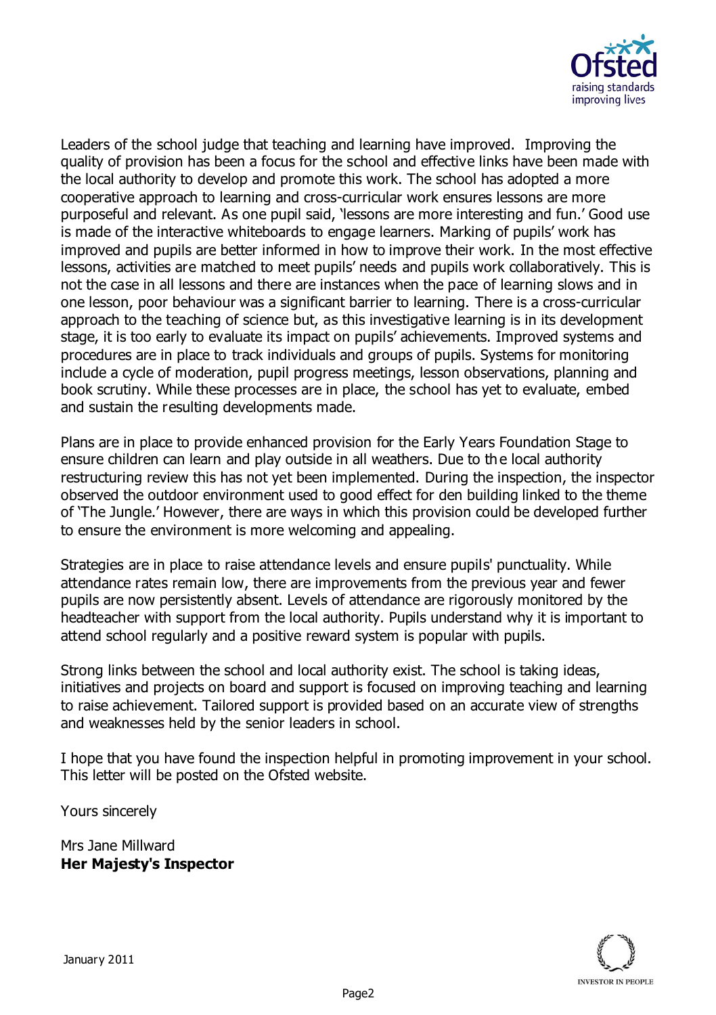

Leaders of the school judge that teaching and learning have improved. Improving the quality of provision has been a focus for the school and effective links have been made with the local authority to develop and promote this work. The school has adopted a more cooperative approach to learning and cross-curricular work ensures lessons are more purposeful and relevant. As one pupil said, 'lessons are more interesting and fun.' Good use is made of the interactive whiteboards to engage learners. Marking of pupils' work has improved and pupils are better informed in how to improve their work. In the most effective lessons, activities are matched to meet pupils' needs and pupils work collaboratively. This is not the case in all lessons and there are instances when the pace of learning slows and in one lesson, poor behaviour was a significant barrier to learning. There is a cross-curricular approach to the teaching of science but, as this investigative learning is in its development stage, it is too early to evaluate its impact on pupils' achievements. Improved systems and procedures are in place to track individuals and groups of pupils. Systems for monitoring include a cycle of moderation, pupil progress meetings, lesson observations, planning and book scrutiny. While these processes are in place, the school has yet to evaluate, embed and sustain the resulting developments made.

Plans are in place to provide enhanced provision for the Early Years Foundation Stage to ensure children can learn and play outside in all weathers. Due to th e local authority restructuring review this has not yet been implemented. During the inspection, the inspector observed the outdoor environment used to good effect for den building linked to the theme of 'The Jungle.' However, there are ways in which this provision could be developed further to ensure the environment is more welcoming and appealing.

Strategies are in place to raise attendance levels and ensure pupils' punctuality. While attendance rates remain low, there are improvements from the previous year and fewer pupils are now persistently absent. Levels of attendance are rigorously monitored by the headteacher with support from the local authority. Pupils understand why it is important to attend school regularly and a positive reward system is popular with pupils.

Strong links between the school and local authority exist. The school is taking ideas, initiatives and projects on board and support is focused on improving teaching and learning to raise achievement. Tailored support is provided based on an accurate view of strengths and weaknesses held by the senior leaders in school.

I hope that you have found the inspection helpful in promoting improvement in your school. This letter will be posted on the Ofsted website.

Yours sincerely

Mrs Jane Millward **Her Majesty's Inspector**